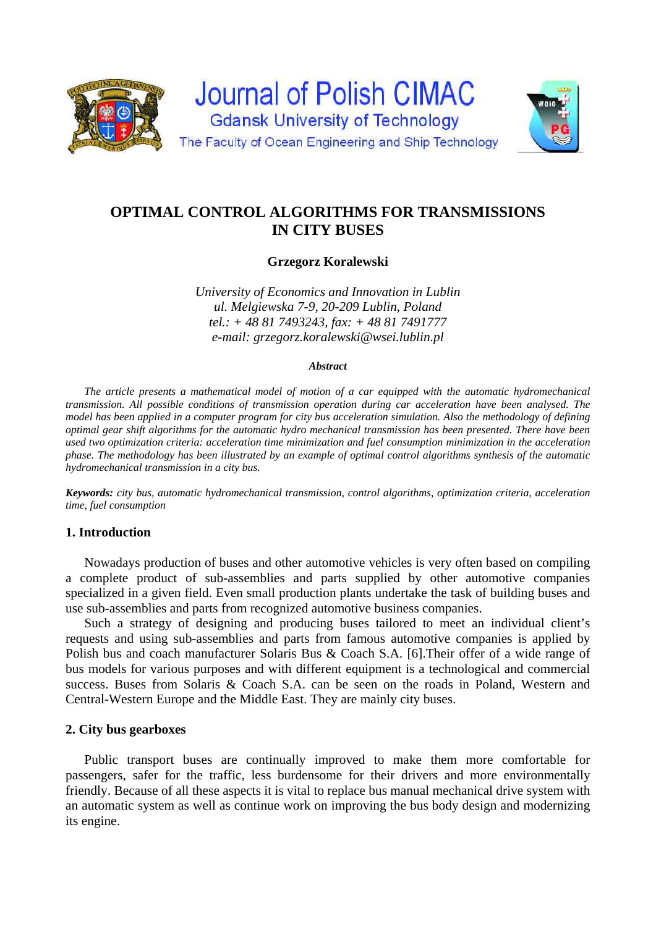

# **OPTIMAL CONTROL ALGORITHMS FOR TRANSMISSIONS IN CITY BUSES**

**Grzegorz Koralewski** 

*University of Economics and Innovation in Lublin ul. Melgiewska 7-9, 20-209 Lublin, Poland tel.: + 48 81 7493243, fax: + 48 81 7491777 e-mail: grzegorz.koralewski@wsei.lublin.pl* 

#### *Abstract*

*The article presents a mathematical model of motion of a car equipped with the automatic hydromechanical transmission. All possible conditions of transmission operation during car acceleration have been analysed. The model has been applied in a computer program for city bus acceleration simulation. Also the methodology of defining optimal gear shift algorithms for the automatic hydro mechanical transmission has been presented. There have been used two optimization criteria: acceleration time minimization and fuel consumption minimization in the acceleration phase. The methodology has been illustrated by an example of optimal control algorithms synthesis of the automatic hydromechanical transmission in a city bus.* 

*Keywords: city bus, automatic hydromechanical transmission, control algorithms, optimization criteria, acceleration time, fuel consumption* 

# **1. Introduction**

Nowadays production of buses and other automotive vehicles is very often based on compiling a complete product of sub-assemblies and parts supplied by other automotive companies specialized in a given field. Even small production plants undertake the task of building buses and use sub-assemblies and parts from recognized automotive business companies.

Such a strategy of designing and producing buses tailored to meet an individual client's requests and using sub-assemblies and parts from famous automotive companies is applied by Polish bus and coach manufacturer Solaris Bus & Coach S.A. [6].Their offer of a wide range of bus models for various purposes and with different equipment is a technological and commercial success. Buses from Solaris & Coach S.A. can be seen on the roads in Poland, Western and Central-Western Europe and the Middle East. They are mainly city buses.

## **2. City bus gearboxes**

Public transport buses are continually improved to make them more comfortable for passengers, safer for the traffic, less burdensome for their drivers and more environmentally friendly. Because of all these aspects it is vital to replace bus manual mechanical drive system with an automatic system as well as continue work on improving the bus body design and modernizing its engine.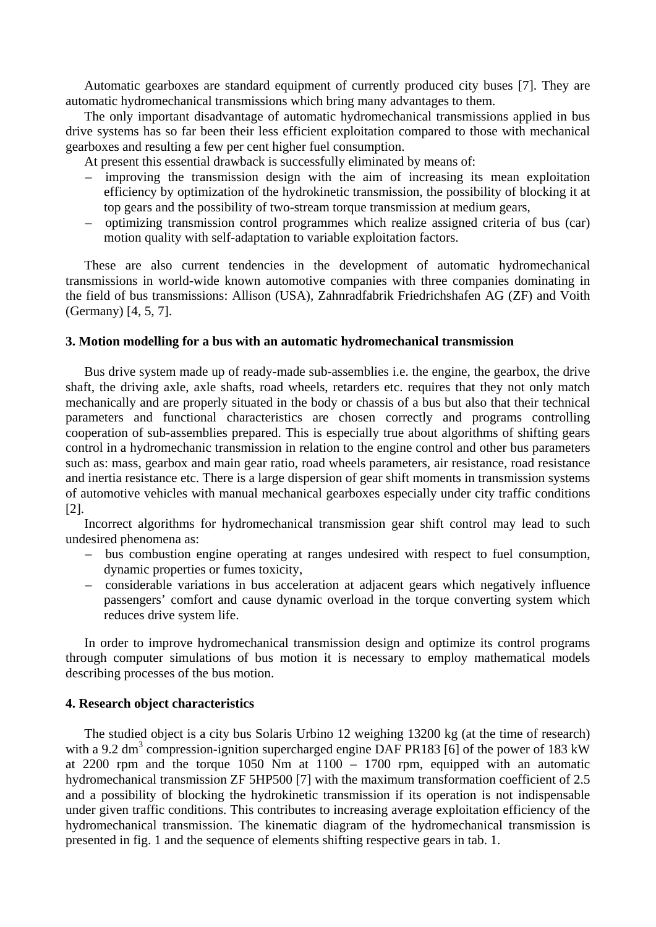Automatic gearboxes are standard equipment of currently produced city buses [7]. They are automatic hydromechanical transmissions which bring many advantages to them.

The only important disadvantage of automatic hydromechanical transmissions applied in bus drive systems has so far been their less efficient exploitation compared to those with mechanical gearboxes and resulting a few per cent higher fuel consumption.

At present this essential drawback is successfully eliminated by means of:

- improving the transmission design with the aim of increasing its mean exploitation efficiency by optimization of the hydrokinetic transmission, the possibility of blocking it at top gears and the possibility of two-stream torque transmission at medium gears,
- optimizing transmission control programmes which realize assigned criteria of bus (car) motion quality with self-adaptation to variable exploitation factors.

These are also current tendencies in the development of automatic hydromechanical transmissions in world-wide known automotive companies with three companies dominating in the field of bus transmissions: Allison (USA), Zahnradfabrik Friedrichshafen AG (ZF) and Voith (Germany) [4, 5, 7].

#### **3. Motion modelling for a bus with an automatic hydromechanical transmission**

Bus drive system made up of ready-made sub-assemblies i.e. the engine, the gearbox, the drive shaft, the driving axle, axle shafts, road wheels, retarders etc. requires that they not only match mechanically and are properly situated in the body or chassis of a bus but also that their technical parameters and functional characteristics are chosen correctly and programs controlling cooperation of sub-assemblies prepared. This is especially true about algorithms of shifting gears control in a hydromechanic transmission in relation to the engine control and other bus parameters such as: mass, gearbox and main gear ratio, road wheels parameters, air resistance, road resistance and inertia resistance etc. There is a large dispersion of gear shift moments in transmission systems of automotive vehicles with manual mechanical gearboxes especially under city traffic conditions [2].

Incorrect algorithms for hydromechanical transmission gear shift control may lead to such undesired phenomena as:

- bus combustion engine operating at ranges undesired with respect to fuel consumption, dynamic properties or fumes toxicity,
- considerable variations in bus acceleration at adjacent gears which negatively influence passengers' comfort and cause dynamic overload in the torque converting system which reduces drive system life.

In order to improve hydromechanical transmission design and optimize its control programs through computer simulations of bus motion it is necessary to employ mathematical models describing processes of the bus motion.

#### **4. Research object characteristics**

The studied object is a city bus Solaris Urbino 12 weighing 13200 kg (at the time of research) with a 9.2 dm<sup>3</sup> compression-ignition supercharged engine DAF PR183 [6] of the power of 183 kW at 2200 rpm and the torque 1050 Nm at 1100 – 1700 rpm, equipped with an automatic hydromechanical transmission ZF 5HP500 [7] with the maximum transformation coefficient of 2.5 and a possibility of blocking the hydrokinetic transmission if its operation is not indispensable under given traffic conditions. This contributes to increasing average exploitation efficiency of the hydromechanical transmission. The kinematic diagram of the hydromechanical transmission is presented in fig. 1 and the sequence of elements shifting respective gears in tab. 1.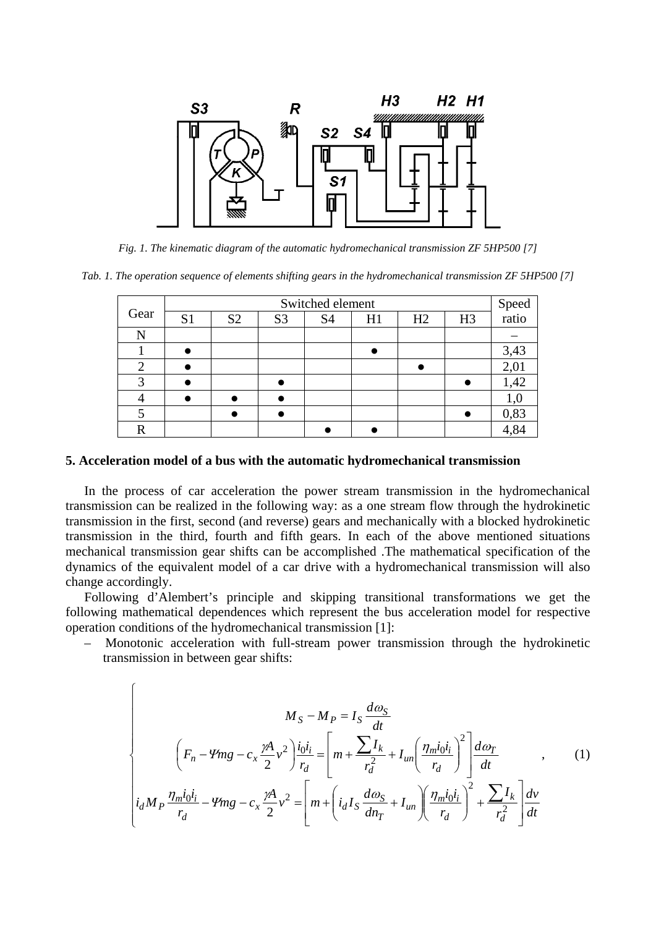

*Fig. 1. The kinematic diagram of the automatic hydromechanical transmission ZF 5HP500 [7]* 

*Tab. 1. The operation sequence of elements shifting gears in the hydromechanical transmission ZF 5HP500 [7]* 

|      | Switched element |                |                |                |    |    |                | Speed<br>ratio |
|------|------------------|----------------|----------------|----------------|----|----|----------------|----------------|
| Gear | S <sub>1</sub>   | S <sub>2</sub> | S <sub>3</sub> | S <sub>4</sub> | H1 | H2 | H <sub>3</sub> |                |
| N    |                  |                |                |                |    |    |                |                |
|      |                  |                |                |                |    |    |                | 3,43           |
|      |                  |                |                |                |    |    |                | 2,01           |
|      |                  |                |                |                |    |    |                | 1,42           |
|      |                  |                |                |                |    |    |                |                |
|      |                  |                |                |                |    |    |                | 0,83           |
| R    |                  |                |                |                |    |    |                |                |

#### **5. Acceleration model of a bus with the automatic hydromechanical transmission**

In the process of car acceleration the power stream transmission in the hydromechanical transmission can be realized in the following way: as a one stream flow through the hydrokinetic transmission in the first, second (and reverse) gears and mechanically with a blocked hydrokinetic transmission in the third, fourth and fifth gears. In each of the above mentioned situations mechanical transmission gear shifts can be accomplished .The mathematical specification of the dynamics of the equivalent model of a car drive with a hydromechanical transmission will also change accordingly.

Following d'Alembert's principle and skipping transitional transformations we get the following mathematical dependences which represent the bus acceleration model for respective operation conditions of the hydromechanical transmission [1]:

– Monotonic acceleration with full-stream power transmission through the hydrokinetic transmission in between gear shifts:

$$
M_S - M_P = I_S \frac{d\omega_S}{dt}
$$
  

$$
\left(F_n - \Psi mg - c_x \frac{\gamma A}{2} v^2\right) \frac{i_0 i_i}{r_d} = \left[m + \frac{\sum I_k}{r_d^2} + I_{un} \left(\frac{\eta_m i_0 i_i}{r_d}\right)^2\right] \frac{d\omega_T}{dt} \qquad , \qquad (1)
$$
  

$$
i_d M_P \frac{\eta_m i_0 i_i}{r_d} - \Psi mg - c_x \frac{\gamma A}{2} v^2 = \left[m + \left(i_d I_S \frac{d\omega_S}{dn_T} + I_{un}\right) \left(\frac{\eta_m i_0 i_i}{r_d}\right)^2 + \frac{\sum I_k}{r_d^2}\right] \frac{d\omega_T}{dt}
$$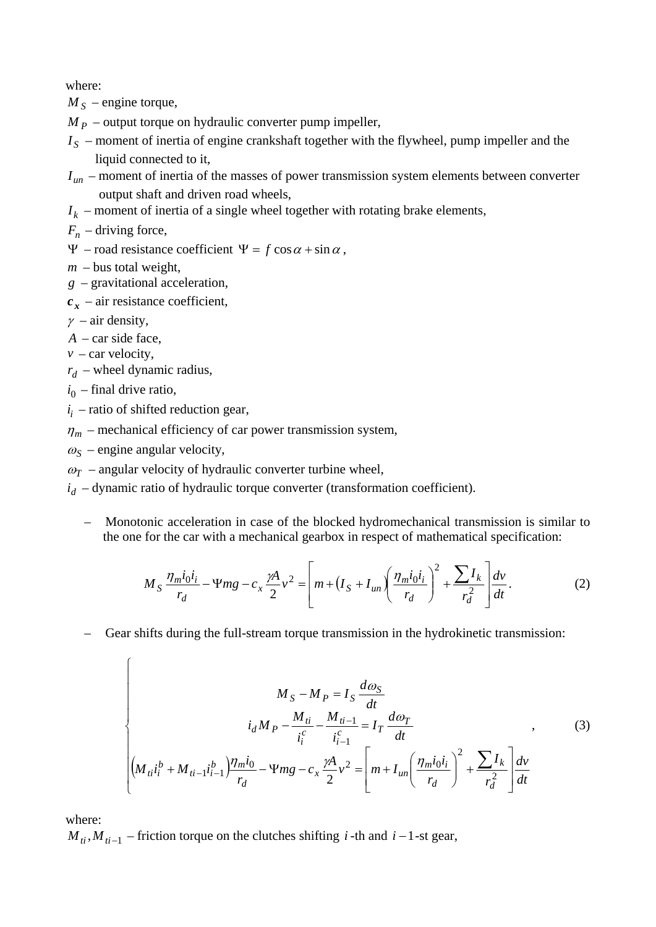where:

 $M<sub>S</sub>$  – engine torque,

 $M<sub>p</sub>$  – output torque on hydraulic converter pump impeller,

- $I<sub>S</sub>$  moment of inertia of engine crankshaft together with the flywheel, pump impeller and the liquid connected to it,
- $I_{un}$  moment of inertia of the masses of power transmission system elements between converter output shaft and driven road wheels,
- $I_k$  moment of inertia of a single wheel together with rotating brake elements,

 $F_n$  – driving force,

 $\Psi$  – road resistance coefficient  $\Psi = f \cos \alpha + \sin \alpha$ .

$$
m -
$$
bus total weight,

- *g* gravitational acceleration,
- $c_x$  air resistance coefficient,

 $\gamma$  – air density,

*A* – car side face,

 $v$  – car velocity,

 $r_d$  – wheel dynamic radius,

 $i_0$  – final drive ratio,

 $\int$ 

 $i_i$  – ratio of shifted reduction gear,

 $\eta_m$  – mechanical efficiency of car power transmission system,

 $\omega_{\rm S}$  – engine angular velocity,

 $\omega_T$  – angular velocity of hydraulic converter turbine wheel,

 $i_d$  – dynamic ratio of hydraulic torque converter (transformation coefficient).

– Monotonic acceleration in case of the blocked hydromechanical transmission is similar to the one for the car with a mechanical gearbox in respect of mathematical specification:

$$
M_S \frac{\eta_m i_0 i_i}{r_d} - \Psi mg - c_x \frac{\gamma A}{2} v^2 = \left[ m + \left( I_S + I_{un} \right) \left( \frac{\eta_m i_0 i_i}{r_d} \right)^2 + \frac{\sum I_k}{r_d^2} \right] \frac{dv}{dt}.
$$
 (2)

– Gear shifts during the full-stream torque transmission in the hydrokinetic transmission:

$$
M_{S} - M_{P} = I_{S} \frac{d\omega_{S}}{dt}
$$
  
\n
$$
i_{d}M_{P} - \frac{M_{ti}}{i_{i}^{c}} - \frac{M_{ti-1}}{i_{i-1}^{c}} = I_{T} \frac{d\omega_{T}}{dt}
$$
, (3)  
\n
$$
\left| \left(M_{ti}i_{i}^{b} + M_{ti-1}i_{i-1}^{b}\right) \frac{\eta_{m}i_{0}}{r_{d}} - \Psi mg - c_{x} \frac{\gamma A}{2}v^{2} = \left[m + I_{un}\left(\frac{\eta_{m}i_{0}i_{i}}{r_{d}}\right)^{2} + \frac{\sum I_{k}}{r_{d}^{2}}\right] \frac{dv}{dt}
$$

where:

 $M_{ti}$ ,  $M_{ti-1}$  – friction torque on the clutches shifting *i* -th and *i* – 1-st gear,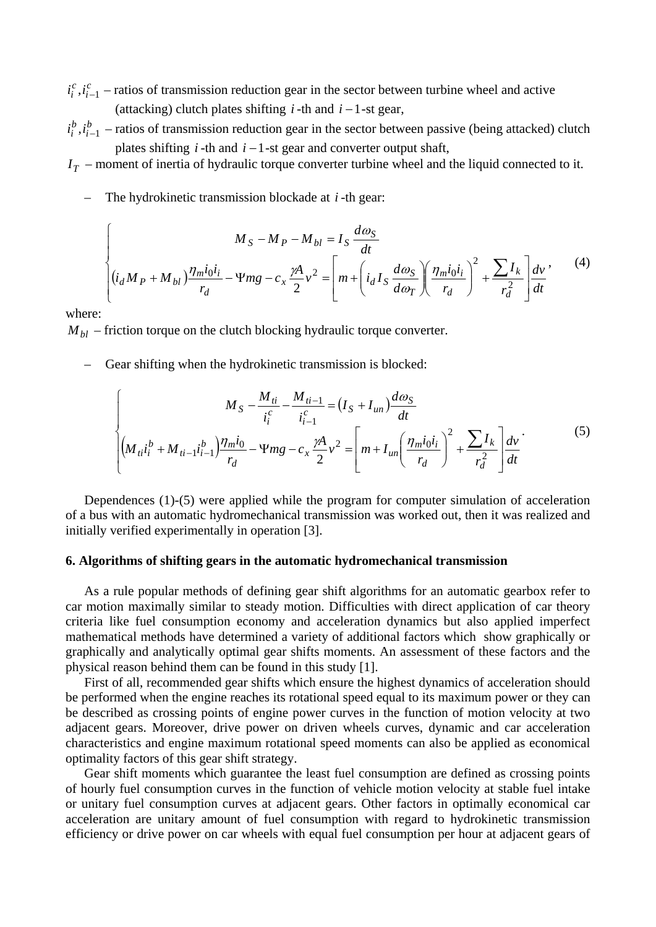$i_i^c$ ,  $i_{i-1}^c$  – ratios of transmission reduction gear in the sector between turbine wheel and active (attacking) clutch plates shifting  $i$ -th and  $i-1$ -st gear,

*b i*  $i_i^b$ ,  $i_{i-1}^b$  – ratios of transmission reduction gear in the sector between passive (being attacked) clutch plates shifting  $i$ -th and  $i-1$ -st gear and converter output shaft,

 $I<sub>T</sub>$  – moment of inertia of hydraulic torque converter turbine wheel and the liquid connected to it.

– The hydrokinetic transmission blockade at *i* -th gear:

$$
\int_{\left(i_d M_P + M_{bl}\right)} \frac{M_S - M_P - M_{bl}}{r_d} = I_S \frac{d\omega_S}{dt}
$$
\n
$$
\left[ (i_d M_P + M_{bl}) \frac{\eta_m i_0 i_i}{r_d} - \Psi mg - c_x \frac{\gamma A}{2} v^2 \right] = \left[ m + \left( i_d I_S \frac{d\omega_S}{d\omega_T} \right) \left( \frac{\eta_m i_0 i_i}{r_d} \right)^2 + \frac{\sum I_k}{r_d^2} \right] \frac{dv}{dt},
$$
\n(4)

where:

 $M_{bl}$  – friction torque on the clutch blocking hydraulic torque converter.

– Gear shifting when the hydrokinetic transmission is blocked:

$$
\int_{\mathcal{M}_{ii}i_{i}^{b} + M_{ii-1}i_{i-1}^{b}} M_{S} - \frac{M_{ti}}{i_{i}^{c}} - \frac{M_{ti-1}}{i_{i-1}^{c}} = (I_{S} + I_{un})\frac{d\omega_{S}}{dt}
$$
\n
$$
\left| \left(M_{ti}i_{i}^{b} + M_{ti-1}i_{i-1}^{b}\right)\frac{\eta_{mi}}{r_{d}} - \Psi mg - c_{x}\frac{\gamma A}{2}v^{2} = \left[m + I_{un}\left(\frac{\eta_{mi}i_{0}i_{i}}{r_{d}}\right)^{2} + \frac{\sum I_{k}}{r_{d}^{2}}\right]\frac{dv}{dt} \right|
$$
\n(5)

Dependences (1)-(5) were applied while the program for computer simulation of acceleration of a bus with an automatic hydromechanical transmission was worked out, then it was realized and initially verified experimentally in operation [3].

# **6. Algorithms of shifting gears in the automatic hydromechanical transmission**

As a rule popular methods of defining gear shift algorithms for an automatic gearbox refer to car motion maximally similar to steady motion. Difficulties with direct application of car theory criteria like fuel consumption economy and acceleration dynamics but also applied imperfect mathematical methods have determined a variety of additional factors which show graphically or graphically and analytically optimal gear shifts moments. An assessment of these factors and the physical reason behind them can be found in this study [1].

First of all, recommended gear shifts which ensure the highest dynamics of acceleration should be performed when the engine reaches its rotational speed equal to its maximum power or they can be described as crossing points of engine power curves in the function of motion velocity at two adjacent gears. Moreover, drive power on driven wheels curves, dynamic and car acceleration characteristics and engine maximum rotational speed moments can also be applied as economical optimality factors of this gear shift strategy.

Gear shift moments which guarantee the least fuel consumption are defined as crossing points of hourly fuel consumption curves in the function of vehicle motion velocity at stable fuel intake or unitary fuel consumption curves at adjacent gears. Other factors in optimally economical car acceleration are unitary amount of fuel consumption with regard to hydrokinetic transmission efficiency or drive power on car wheels with equal fuel consumption per hour at adjacent gears of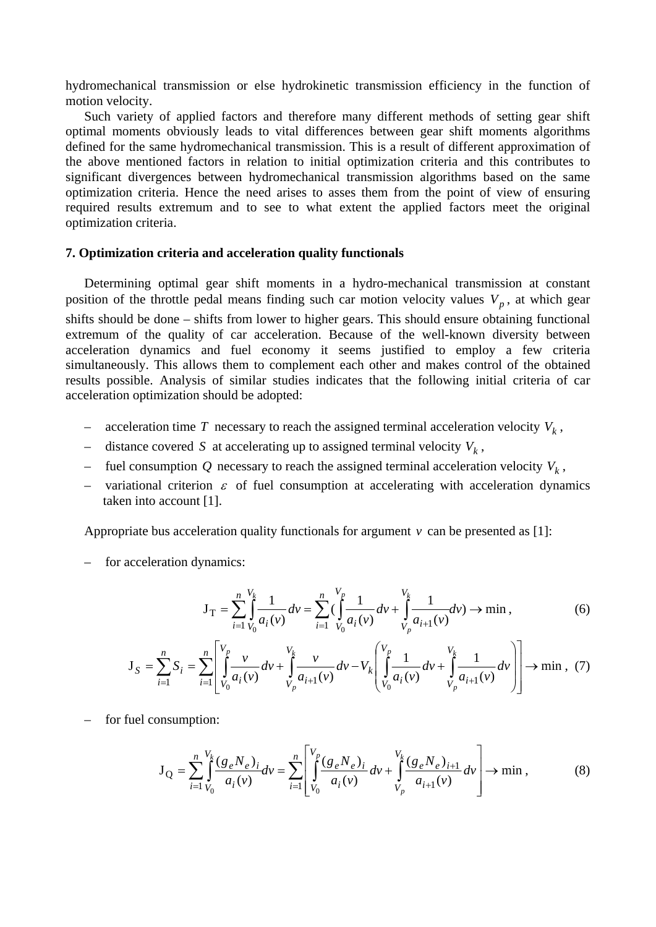hydromechanical transmission or else hydrokinetic transmission efficiency in the function of motion velocity.

Such variety of applied factors and therefore many different methods of setting gear shift optimal moments obviously leads to vital differences between gear shift moments algorithms defined for the same hydromechanical transmission. This is a result of different approximation of the above mentioned factors in relation to initial optimization criteria and this contributes to significant divergences between hydromechanical transmission algorithms based on the same optimization criteria. Hence the need arises to asses them from the point of view of ensuring required results extremum and to see to what extent the applied factors meet the original optimization criteria.

## **7. Optimization criteria and acceleration quality functionals**

Determining optimal gear shift moments in a hydro-mechanical transmission at constant position of the throttle pedal means finding such car motion velocity values  $V_p$ , at which gear shifts should be done – shifts from lower to higher gears. This should ensure obtaining functional extremum of the quality of car acceleration. Because of the well-known diversity between acceleration dynamics and fuel economy it seems justified to employ a few criteria simultaneously. This allows them to complement each other and makes control of the obtained results possible. Analysis of similar studies indicates that the following initial criteria of car acceleration optimization should be adopted:

- acceleration time *T* necessary to reach the assigned terminal acceleration velocity  $V_k$ ,
- distance covered *S* at accelerating up to assigned terminal velocity  $V_k$ ,
- fuel consumption  $Q$  necessary to reach the assigned terminal acceleration velocity  $V_k$ ,
- variational criterion  $\varepsilon$  of fuel consumption at accelerating with acceleration dynamics taken into account [1].

Appropriate bus acceleration quality functionals for argument  $\nu$  can be presented as [1]:

– for acceleration dynamics:

$$
\mathbf{J}_{\mathrm{T}} = \sum_{i=1}^{n} \int_{V_0}^{V_k} \frac{1}{a_i(v)} dv = \sum_{i=1}^{n} \left( \int_{V_0}^{V_p} \frac{1}{a_i(v)} dv + \int_{V_p}^{V_k} \frac{1}{a_{i+1}(v)} dv \right) \to \min, \tag{6}
$$

$$
\mathbf{J}_{S} = \sum_{i=1}^{n} S_{i} = \sum_{i=1}^{n} \left[ \int_{V_{0}}^{V_{p}} \frac{v}{a_{i}(v)} dv + \int_{V_{p}}^{V_{k}} \frac{v}{a_{i+1}(v)} dv - V_{k} \left( \int_{V_{0}}^{V_{p}} \frac{1}{a_{i}(v)} dv + \int_{V_{p}}^{V_{k}} \frac{1}{a_{i+1}(v)} dv \right) \right] \rightarrow \min , (7)
$$

– for fuel consumption:

$$
\mathbf{J}_{\mathbf{Q}} = \sum_{i=1}^{n} \int_{V_0}^{V_k} \frac{(g_e N_e)_{i}}{a_i(v)} dv = \sum_{i=1}^{n} \left[ \int_{V_0}^{V_p} \frac{(g_e N_e)_{i}}{a_i(v)} dv + \int_{V_p}^{V_k} \frac{(g_e N_e)_{i+1}}{a_{i+1}(v)} dv \right] \to \min ,
$$
 (8)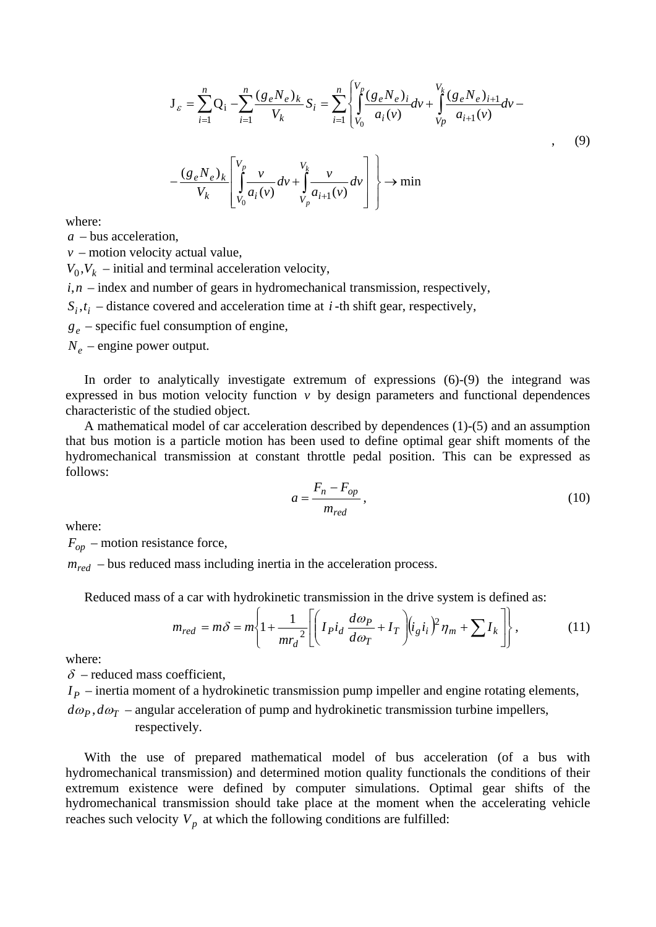$$
\mathbf{J}_{\varepsilon} = \sum_{i=1}^{n} \mathbf{Q}_{i} - \sum_{i=1}^{n} \frac{(g_{e}N_{e})_{k}}{V_{k}} S_{i} = \sum_{i=1}^{n} \left\{ \int_{V_{0}}^{V_{p}} \frac{(g_{e}N_{e})_{i}}{a_{i}(v)} dv + \int_{V_{p}}^{V_{k}} \frac{(g_{e}N_{e})_{i+1}}{a_{i+1}(v)} dv - \frac{(g_{e}N_{e})_{k}}{V_{k}} \left[ \int_{V_{0}}^{V_{p}} \frac{v}{a_{i}(v)} dv + \int_{V_{p}}^{V_{k}} \frac{v}{a_{i+1}(v)} dv \right] \right\} \rightarrow \min
$$
\n(9)

where:

*a* – bus acceleration,

 $v$  – motion velocity actual value,

 $V_0$ ,  $V_k$  – initial and terminal acceleration velocity,

 $i, n$  – index and number of gears in hydromechanical transmission, respectively,

 $S_i, t_i$  – distance covered and acceleration time at *i*-th shift gear, respectively,

*ge* – specific fuel consumption of engine,

 $N_e$  – engine power output.

In order to analytically investigate extremum of expressions (6)-(9) the integrand was expressed in bus motion velocity function  $v$  by design parameters and functional dependences characteristic of the studied object.

A mathematical model of car acceleration described by dependences (1)-(5) and an assumption that bus motion is a particle motion has been used to define optimal gear shift moments of the hydromechanical transmission at constant throttle pedal position. This can be expressed as follows:

$$
a = \frac{F_n - F_{op}}{m_{red}},\tag{10}
$$

where:

 $F_{\text{on}}$  – motion resistance force,

 $m_{red}$  – bus reduced mass including inertia in the acceleration process.

Reduced mass of a car with hydrokinetic transmission in the drive system is defined as:

$$
m_{red} = m\delta = m \left\{ 1 + \frac{1}{mr_d^2} \left[ \left( I_P i_d \frac{d\omega_P}{d\omega_T} + I_T \right) (i_g i_i)^2 \eta_m + \sum I_k \right] \right\},\tag{11}
$$

where:

 $\delta$  – reduced mass coefficient,

 $I<sub>p</sub>$  – inertia moment of a hydrokinetic transmission pump impeller and engine rotating elements,

 $d\omega_p$ ,  $d\omega_T$  – angular acceleration of pump and hydrokinetic transmission turbine impellers, respectively.

With the use of prepared mathematical model of bus acceleration (of a bus with hydromechanical transmission) and determined motion quality functionals the conditions of their extremum existence were defined by computer simulations. Optimal gear shifts of the hydromechanical transmission should take place at the moment when the accelerating vehicle reaches such velocity  $V_p$  at which the following conditions are fulfilled: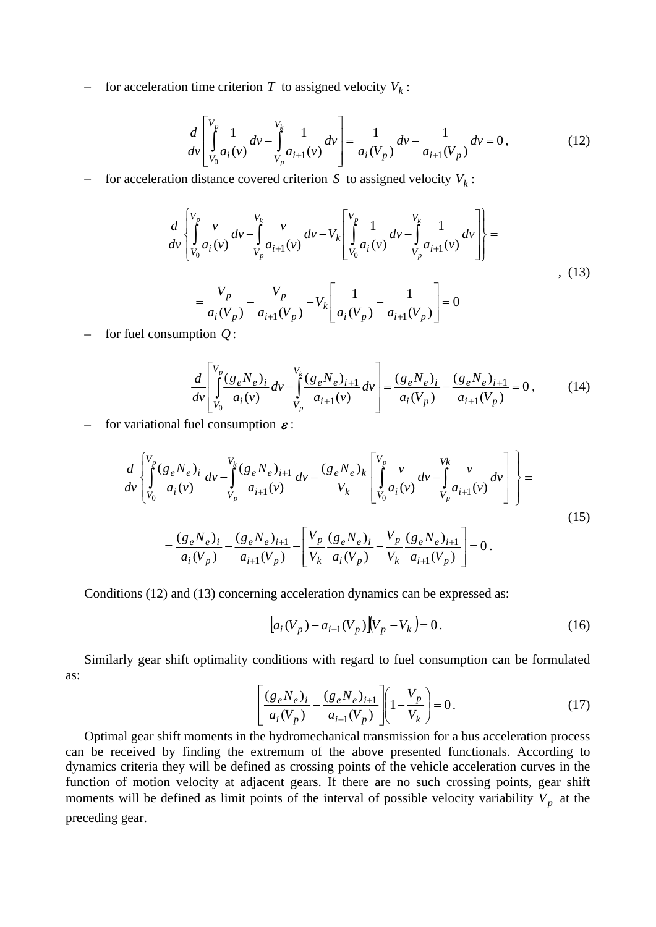– for acceleration time criterion  $T$  to assigned velocity  $V_k$ :

$$
\frac{d}{dv} \left[ \int_{V_0}^{V_p} \frac{1}{a_i(v)} dv - \int_{V_p}^{V_k} \frac{1}{a_{i+1}(v)} dv \right] = \frac{1}{a_i(V_p)} dv - \frac{1}{a_{i+1}(V_p)} dv = 0,
$$
\n(12)

for acceleration distance covered criterion *S* to assigned velocity  $V_k$ :

$$
\frac{d}{dv} \left\{ \int_{V_0}^{V_p} \frac{v}{a_i(v)} dv - \int_{V_p}^{V_k} \frac{v}{a_{i+1}(v)} dv - V_k \left[ \int_{V_0}^{V_p} \frac{1}{a_i(v)} dv - \int_{V_p}^{V_k} \frac{1}{a_{i+1}(v)} dv \right] \right\} = \frac{V_p}{a_i(V_p)} - \frac{V_p}{a_{i+1}(V_p)} - V_k \left[ \frac{1}{a_i(V_p)} - \frac{1}{a_{i+1}(V_p)} \right] = 0
$$
\n(13)

– for fuel consumption *Q* :

$$
\frac{d}{dv} \left[ \int_{V_0}^{V_p} \frac{(g_e N_e)_i}{a_i(v)} dv - \int_{V_p}^{V_k} \frac{(g_e N_e)_{i+1}}{a_{i+1}(v)} dv \right] = \frac{(g_e N_e)_i}{a_i(V_p)} - \frac{(g_e N_e)_{i+1}}{a_{i+1}(V_p)} = 0, \quad (14)
$$

– for variational fuel consumption  $\boldsymbol{\varepsilon}$ :

$$
\frac{d}{dv} \left\{ \int_{V_0}^{V_p} \frac{(g_e N_e)_i}{a_i(v)} dv - \int_{V_p}^{V_k} \frac{(g_e N_e)_{i+1}}{a_{i+1}(v)} dv - \frac{(g_e N_e)_k}{V_k} \left[ \int_{V_0}^{V_p} \frac{v}{a_i(v)} dv - \int_{V_p}^{V_k} \frac{v}{a_{i+1}(v)} dv \right] \right\} = \frac{(g_e N_e)_i}{a_i(V_p)} - \frac{(g_e N_e)_{i+1}}{a_{i+1}(V_p)} - \left[ \frac{V_p}{V_k} \frac{(g_e N_e)_i}{a_i(V_p)} - \frac{V_p}{V_k} \frac{(g_e N_e)_{i+1}}{a_{i+1}(V_p)} \right] = 0.
$$
\n(15)

Conditions (12) and (13) concerning acceleration dynamics can be expressed as:

$$
[a_i(V_p) - a_{i+1}(V_p)](V_p - V_k) = 0.
$$
\n(16)

Similarly gear shift optimality conditions with regard to fuel consumption can be formulated as:

$$
\left[ \frac{(g_e N_e)_i}{a_i (V_p)} - \frac{(g_e N_e)_{i+1}}{a_{i+1} (V_p)} \right] \left[ 1 - \frac{V_p}{V_k} \right] = 0. \tag{17}
$$

Optimal gear shift moments in the hydromechanical transmission for a bus acceleration process can be received by finding the extremum of the above presented functionals. According to dynamics criteria they will be defined as crossing points of the vehicle acceleration curves in the function of motion velocity at adjacent gears. If there are no such crossing points, gear shift moments will be defined as limit points of the interval of possible velocity variability  $V_p$  at the preceding gear.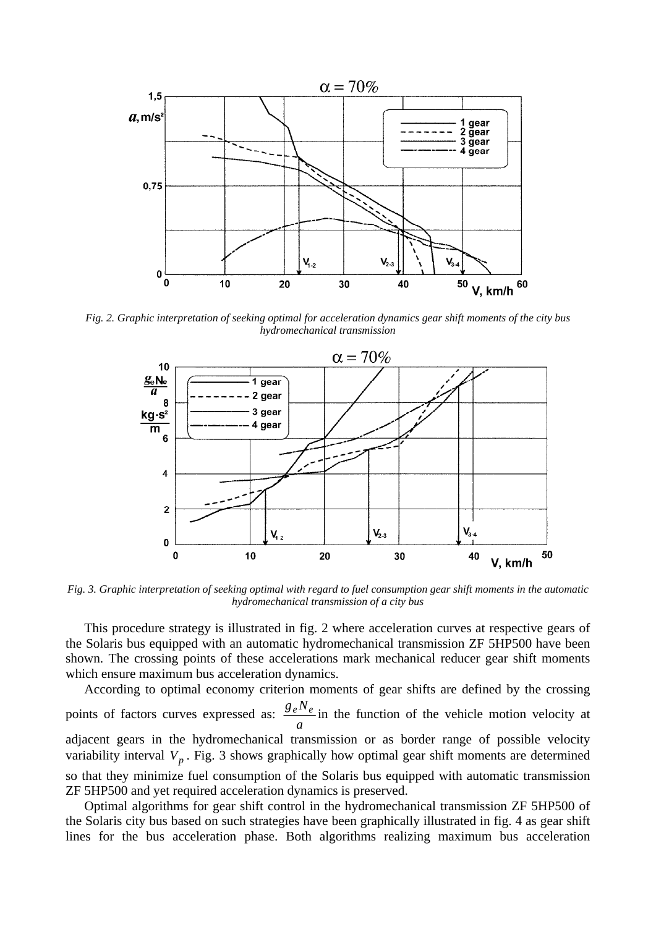

*Fig. 2. Graphic interpretation of seeking optimal for acceleration dynamics gear shift moments of the city bus hydromechanical transmission* 



*Fig. 3. Graphic interpretation of seeking optimal with regard to fuel consumption gear shift moments in the automatic hydromechanical transmission of a city bus* 

This procedure strategy is illustrated in fig. 2 where acceleration curves at respective gears of the Solaris bus equipped with an automatic hydromechanical transmission ZF 5HP500 have been shown. The crossing points of these accelerations mark mechanical reducer gear shift moments which ensure maximum bus acceleration dynamics.

According to optimal economy criterion moments of gear shifts are defined by the crossing points of factors curves expressed as: *a*  $\frac{g_e N_e}{g_e N_e}$  in the function of the vehicle motion velocity at adjacent gears in the hydromechanical transmission or as border range of possible velocity variability interval  $V_p$ . Fig. 3 shows graphically how optimal gear shift moments are determined so that they minimize fuel consumption of the Solaris bus equipped with automatic transmission ZF 5HP500 and yet required acceleration dynamics is preserved.

Optimal algorithms for gear shift control in the hydromechanical transmission ZF 5HP500 of the Solaris city bus based on such strategies have been graphically illustrated in fig. 4 as gear shift lines for the bus acceleration phase. Both algorithms realizing maximum bus acceleration